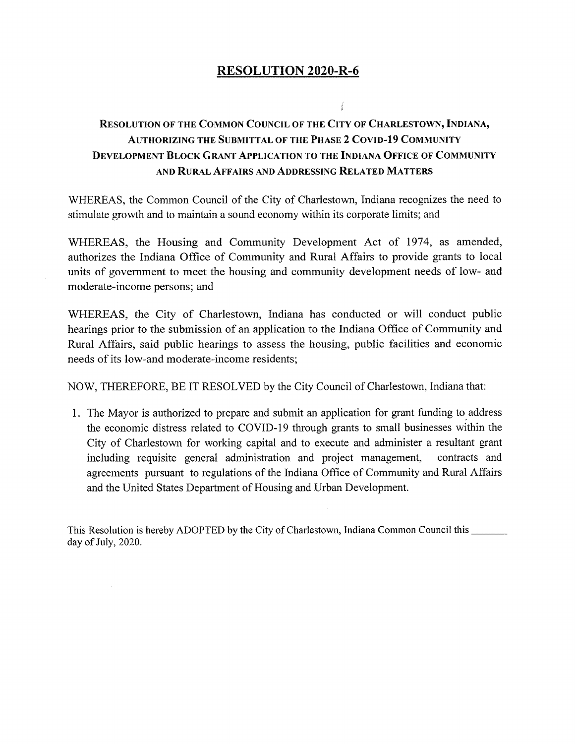## **RESOLUTION 2020-R-6**

## **Resolution of the Common Council of the City of Charlestown, Indiana, Authorizing the Submittal of the Phase 2 Covid-19 Community Development Block Grant Application to the Indiana Office of Community** AND **Rural Affairs and Addressing Related Matters**

 $\mathbf{u}$ 

WHEREAS, the Common Council of the City of Charlestown, Indiana recognizes the need to stimulate growth and to maintain a sound economy within its corporate limits; and

WHEREAS, the Housing and Community Development Act of 1974, as amended, authorizes the Indiana Office of Community and Rural Affairs to provide grants to local units of government to meet the housing and community development needs of low- and moderate-income persons; and

WHEREAS, the City of Charlestown, Indiana has conducted or will conduct public hearings prior to the submission of an application to the Indiana Office of Community and Rural Affairs, said public hearings to assess the housing, public facilities and economic needs of its low-and moderate-income residents;

NOW, THEREFORE, BE IT RESOLVED by the City Council of Charlestown, Indiana that:

I. The Mayor is authorized to prepare and submit an application for grant funding to address the economic distress related to COVID-19 through grants to small businesses within the City of Charlestown for working capital and to execute and administer a resultant grant including requisite general administration and project management, contracts and agreements pursuant to regulations of the Indiana Office of Community and Rural Affairs and the United States Department of Housing and Urban Development.

This Resolution is hereby ADOPTED by the City of Charlestown, Indiana Common Council this \_\_\_\_\_\_\_ day of July, 2020.